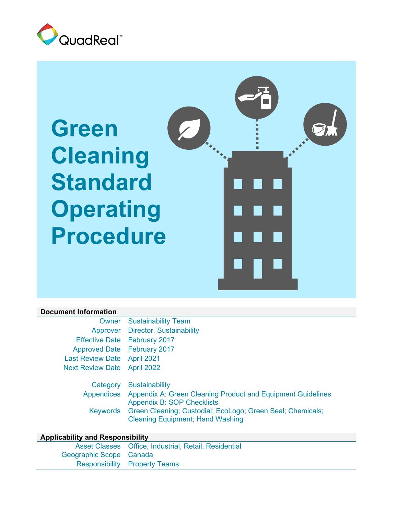

# **Green Cleaning Standard Operating Procedure**



#### **Document Information**

|                                    | <b>Owner</b> Sustainability Team                                       |
|------------------------------------|------------------------------------------------------------------------|
|                                    | Approver Director, Sustainability                                      |
|                                    | Effective Date February 2017                                           |
| Approved Date February 2017        |                                                                        |
| Last Review Date April 2021        |                                                                        |
| <b>Next Review Date</b> April 2022 |                                                                        |
|                                    | Category Sustainability                                                |
|                                    | Appendices Appendix A: Green Cleaning Product and Equipment Guidelines |

Appendix B: SOP Checklists Keywords Green Cleaning; Custodial; EcoLogo; Green Seal; Chemicals; Cleaning Equipment; Hand Washing

#### **Applicability and Responsibility**

|                         | Asset Classes Office, Industrial, Retail, Residential |
|-------------------------|-------------------------------------------------------|
| Geographic Scope Canada |                                                       |
|                         | <b>Responsibility Property Teams</b>                  |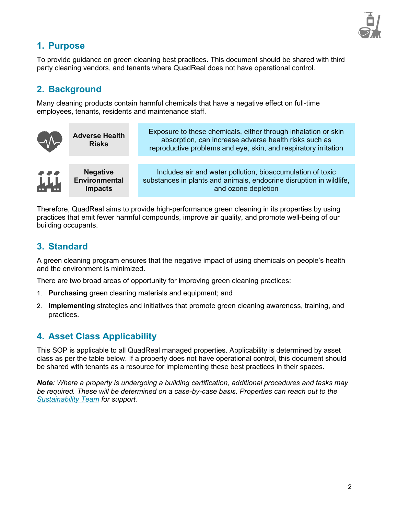

# **1. Purpose**

To provide guidance on green cleaning best practices. This document should be shared with third party cleaning vendors, and tenants where QuadReal does not have operational control.

# **2. Background**

Many cleaning products contain harmful chemicals that have a negative effect on full-time employees, tenants, residents and maintenance staff.

| W-       | <b>Adverse Health</b><br><b>Risks</b>                     | Exposure to these chemicals, either through inhalation or skin<br>absorption, can increase adverse health risks such as<br>reproductive problems and eye, skin, and respiratory irritation |
|----------|-----------------------------------------------------------|--------------------------------------------------------------------------------------------------------------------------------------------------------------------------------------------|
|          |                                                           |                                                                                                                                                                                            |
| 444<br>州 | <b>Negative</b><br><b>Environmental</b><br><b>Impacts</b> | Includes air and water pollution, bioaccumulation of toxic<br>substances in plants and animals, endocrine disruption in wildlife,<br>and ozone depletion                                   |

Therefore, QuadReal aims to provide high-performance green cleaning in its properties by using practices that emit fewer harmful compounds, improve air quality, and promote well-being of our building occupants.

# **3. Standard**

A green cleaning program ensures that the negative impact of using chemicals on people's health and the environment is minimized.

There are two broad areas of opportunity for improving green cleaning practices:

- 1. **Purchasing** green cleaning materials and equipment; and
- 2. **Implementing** strategies and initiatives that promote green cleaning awareness, training, and practices.

# **4. Asset Class Applicability**

This SOP is applicable to all QuadReal managed properties. Applicability is determined by asset class as per the table below. If a property does not have operational control, this document should be shared with tenants as a resource for implementing these best practices in their spaces.

*Note: Where a property is undergoing a building certification, additional procedures and tasks may be required. These will be determined on a case-by-case basis. Properties can reach out to the Sustainability Team for support.*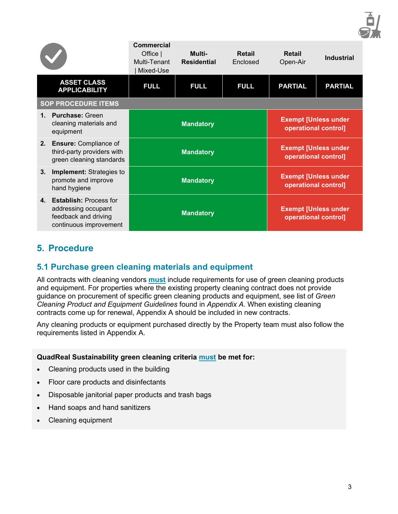

|              |                                                                                                    | <b>Commercial</b><br>Office $ $<br>Multi-Tenant<br>Mixed-Use | Multi-<br><b>Residential</b> | <b>Retail</b><br><b>Enclosed</b> | <b>Retail</b><br>Open-Air                                  | <b>Industrial</b> |
|--------------|----------------------------------------------------------------------------------------------------|--------------------------------------------------------------|------------------------------|----------------------------------|------------------------------------------------------------|-------------------|
|              | <b>ASSET CLASS</b><br><b>APPLICABILITY</b>                                                         | <b>FULL</b>                                                  | <b>FULL</b>                  | <b>FULL</b>                      | <b>PARTIAL</b>                                             | <b>PARTIAL</b>    |
|              | <b>SOP PROCEDURE ITEMS</b>                                                                         |                                                              |                              |                                  |                                                            |                   |
| $\mathbf{1}$ | <b>Purchase: Green</b><br>cleaning materials and<br>equipment                                      |                                                              | <b>Mandatory</b>             |                                  | <b>Exempt [Unless under</b><br>operational control]        |                   |
|              | 2. Ensure: Compliance of<br>third-party providers with<br>green cleaning standards                 |                                                              | <b>Mandatory</b>             |                                  | <b>Exempt [Unless under</b><br>operational control]        |                   |
| 3.           | <b>Implement:</b> Strategies to<br>promote and improve<br>hand hygiene                             |                                                              | <b>Mandatory</b>             |                                  | <b>Exempt [Unless under</b><br><b>operational control]</b> |                   |
|              | 4. Establish: Process for<br>addressing occupant<br>feedback and driving<br>continuous improvement |                                                              | <b>Mandatory</b>             |                                  | <b>Exempt [Unless under</b><br><b>operational control]</b> |                   |

# **5. Procedure**

## **5.1 Purchase green cleaning materials and equipment**

All contracts with cleaning vendors **must** include requirements for use of green cleaning products and equipment. For properties where the existing property cleaning contract does not provide guidance on procurement of specific green cleaning products and equipment, see list of *Green Cleaning Product and Equipment Guidelines* found in *Appendix A.* When existing cleaning contracts come up for renewal, Appendix A should be included in new contracts.

Any cleaning products or equipment purchased directly by the Property team must also follow the requirements listed in Appendix A.

#### **QuadReal Sustainability green cleaning criteria must be met for:**

- Cleaning products used in the building
- Floor care products and disinfectants
- Disposable janitorial paper products and trash bags
- Hand soaps and hand sanitizers
- Cleaning equipment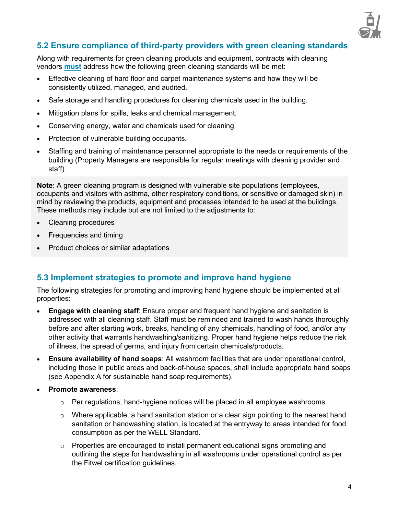

# **5.2 Ensure compliance of third-party providers with green cleaning standards**

Along with requirements for green cleaning products and equipment, contracts with cleaning vendors **must** address how the following green cleaning standards will be met:

- Effective cleaning of hard floor and carpet maintenance systems and how they will be consistently utilized, managed, and audited.
- Safe storage and handling procedures for cleaning chemicals used in the building.
- Mitigation plans for spills, leaks and chemical management.
- Conserving energy, water and chemicals used for cleaning.
- Protection of vulnerable building occupants.
- Staffing and training of maintenance personnel appropriate to the needs or requirements of the building (Property Managers are responsible for regular meetings with cleaning provider and staff).

**Note**: A green cleaning program is designed with vulnerable site populations (employees, occupants and visitors with asthma, other respiratory conditions, or sensitive or damaged skin) in mind by reviewing the products, equipment and processes intended to be used at the buildings. These methods may include but are not limited to the adjustments to:

- Cleaning procedures
- Frequencies and timing
- Product choices or similar adaptations

## **5.3 Implement strategies to promote and improve hand hygiene**

The following strategies for promoting and improving hand hygiene should be implemented at all properties:

- **Engage with cleaning staff**: Ensure proper and frequent hand hygiene and sanitation is addressed with all cleaning staff. Staff must be reminded and trained to wash hands thoroughly before and after starting work, breaks, handling of any chemicals, handling of food, and/or any other activity that warrants handwashing/sanitizing. Proper hand hygiene helps reduce the risk of illness, the spread of germs, and injury from certain chemicals/products.
- **Ensure availability of hand soaps**: All washroom facilities that are under operational control, including those in public areas and back-of-house spaces, shall include appropriate hand soaps (see Appendix A for sustainable hand soap requirements).
- **Promote awareness**:
	- $\circ$  Per regulations, hand-hygiene notices will be placed in all employee washrooms.
	- $\circ$  Where applicable, a hand sanitation station or a clear sign pointing to the nearest hand sanitation or handwashing station, is located at the entryway to areas intended for food consumption as per the WELL Standard.
	- $\circ$  Properties are encouraged to install permanent educational signs promoting and outlining the steps for handwashing in all washrooms under operational control as per the Fitwel certification guidelines.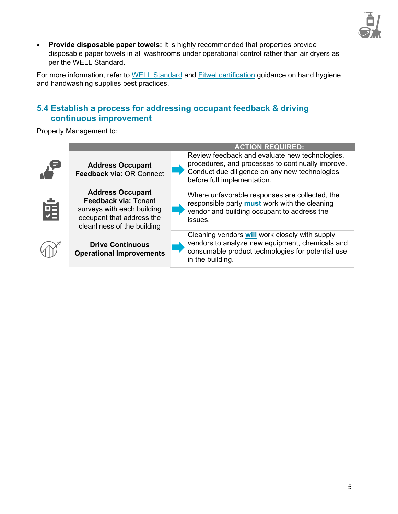

• **Provide disposable paper towels:** It is highly recommended that properties provide disposable paper towels in all washrooms under operational control rather than air dryers as per the WELL Standard.

For more information, refer to WELL Standard and Fitwel certification guidance on hand hygiene and handwashing supplies best practices.

# **5.4 Establish a process for addressing occupant feedback & driving continuous improvement**

Property Management to:

|   |                                                                                                                                           | <b>ACTION REQUIRED:</b>                                                                                                                                                             |
|---|-------------------------------------------------------------------------------------------------------------------------------------------|-------------------------------------------------------------------------------------------------------------------------------------------------------------------------------------|
|   | <b>Address Occupant</b><br><b>Feedback via: QR Connect</b>                                                                                | Review feedback and evaluate new technologies,<br>procedures, and processes to continually improve.<br>Conduct due diligence on any new technologies<br>before full implementation. |
| 펹 | <b>Address Occupant</b><br>Feedback via: Tenant<br>surveys with each building<br>occupant that address the<br>cleanliness of the building | Where unfavorable responses are collected, the<br>responsible party <b>must</b> work with the cleaning<br>vendor and building occupant to address the<br>issues.                    |
|   | <b>Drive Continuous</b><br><b>Operational Improvements</b>                                                                                | Cleaning vendors <b>will</b> work closely with supply<br>vendors to analyze new equipment, chemicals and<br>consumable product technologies for potential use<br>in the building.   |
|   |                                                                                                                                           |                                                                                                                                                                                     |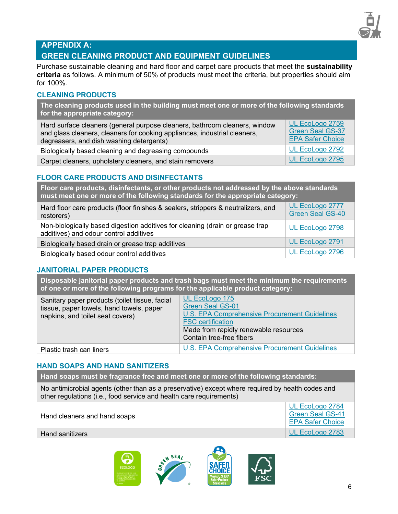

# **APPENDIX A:**

#### **GREEN CLEANING PRODUCT AND EQUIPMENT GUIDELINES**

Purchase sustainable cleaning and hard floor and carpet care products that meet the **sustainability criteria** as follows. A minimum of 50% of products must meet the criteria, but properties should aim for 100%.

#### **CLEANING PRODUCTS**

**The cleaning products used in the building must meet one or more of the following standards for the appropriate category:** 

| Hard surface cleaners (general purpose cleaners, bathroom cleaners, window<br>and glass cleaners, cleaners for cooking appliances, industrial cleaners,<br>degreasers, and dish washing detergents) | UL EcoLogo 2759<br><b>Green Seal GS-37</b><br><b>EPA Safer Choice</b> |
|-----------------------------------------------------------------------------------------------------------------------------------------------------------------------------------------------------|-----------------------------------------------------------------------|
| Biologically based cleaning and degreasing compounds                                                                                                                                                | UL EcoLogo 2792                                                       |
| Carpet cleaners, upholstery cleaners, and stain removers                                                                                                                                            | UL EcoLogo 2795                                                       |

#### **FLOOR CARE PRODUCTS AND DISINFECTANTS**

**Floor care products, disinfectants, or other products not addressed by the above standards must meet one or more of the following standards for the appropriate category:**

| Hard floor care products (floor finishes & sealers, strippers & neutralizers, and<br>restorers)                         | UL EcoLogo 2777<br><b>Green Seal GS-40</b> |
|-------------------------------------------------------------------------------------------------------------------------|--------------------------------------------|
| Non-biologically based digestion additives for cleaning (drain or grease trap<br>additives) and odour control additives | UL EcoLogo 2798                            |
| Biologically based drain or grease trap additives                                                                       | UL EcoLogo 2791                            |
| Biologically based odour control additives                                                                              | UL EcoLogo 2796                            |

#### **JANITORIAL PAPER PRODUCTS**

**Disposable janitorial paper products and trash bags must meet the minimum the requirements of one or more of the following programs for the applicable product category:** 

| UL EcoLogo 175<br><b>Green Seal GS-01</b><br>U.S. EPA Comprehensive Procurement Guidelines<br><b>FSC</b> certification<br>Made from rapidly renewable resources<br>Contain tree-free fibers |
|---------------------------------------------------------------------------------------------------------------------------------------------------------------------------------------------|
| U.S. EPA Comprehensive Procurement Guidelines                                                                                                                                               |
|                                                                                                                                                                                             |

#### **HAND SOAPS AND HAND SANITIZERS**

**Hand soaps must be fragrance free and meet one or more of the following standards:**

No antimicrobial agents (other than as a preservative) except where required by health codes and other regulations (i.e., food service and health care requirements)

| Hand cleaners and hand soaps |  |
|------------------------------|--|
|------------------------------|--|

Hand sanitizers **UL EcoLogo 2783** 



UL EcoLogo 2784 Green Seal GS-41 EPA Safer Choice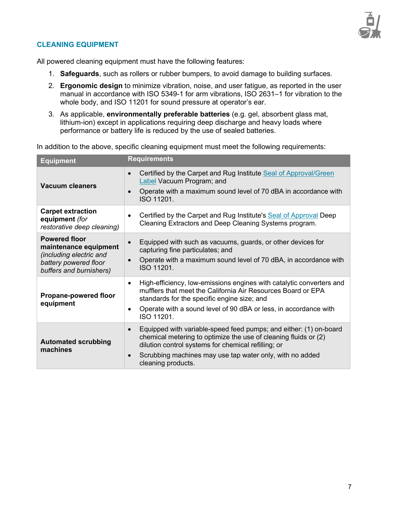

#### **CLEANING EQUIPMENT**

All powered cleaning equipment must have the following features:

- 1. **Safeguards**, such as rollers or rubber bumpers, to avoid damage to building surfaces.
- 2. **Ergonomic design** to minimize vibration, noise, and user fatigue, as reported in the user manual in accordance with ISO 5349-1 for arm vibrations, ISO 2631–1 for vibration to the whole body, and ISO 11201 for sound pressure at operator's ear.
- 3. As applicable, **environmentally preferable batteries** (e.g. gel, absorbent glass mat, lithium-ion) except in applications requiring deep discharge and heavy loads where performance or battery life is reduced by the use of sealed batteries.

In addition to the above, specific cleaning equipment must meet the following requirements:

| <b>Equipment</b>                                                                                                             | <b>Requirements</b>                                                                                                                                                                                                                                                                                     |
|------------------------------------------------------------------------------------------------------------------------------|---------------------------------------------------------------------------------------------------------------------------------------------------------------------------------------------------------------------------------------------------------------------------------------------------------|
| <b>Vacuum cleaners</b>                                                                                                       | Certified by the Carpet and Rug Institute Seal of Approval/Green<br>$\bullet$<br>Label Vacuum Program; and<br>Operate with a maximum sound level of 70 dBA in accordance with<br>$\bullet$<br>ISO 11201.                                                                                                |
| <b>Carpet extraction</b><br>equipment (for<br>restorative deep cleaning)                                                     | Certified by the Carpet and Rug Institute's Seal of Approval Deep<br>$\bullet$<br>Cleaning Extractors and Deep Cleaning Systems program.                                                                                                                                                                |
| <b>Powered floor</b><br>maintenance equipment<br>(including electric and<br>battery powered floor<br>buffers and burnishers) | Equipped with such as vacuums, guards, or other devices for<br>$\bullet$<br>capturing fine particulates; and<br>Operate with a maximum sound level of 70 dBA, in accordance with<br>$\bullet$<br>ISO 11201.                                                                                             |
| <b>Propane-powered floor</b><br>equipment                                                                                    | High-efficiency, low-emissions engines with catalytic converters and<br>$\bullet$<br>mufflers that meet the California Air Resources Board or EPA<br>standards for the specific engine size; and<br>Operate with a sound level of 90 dBA or less, in accordance with<br>$\bullet$<br>ISO 11201.         |
| <b>Automated scrubbing</b><br>machines                                                                                       | Equipped with variable-speed feed pumps; and either: (1) on-board<br>$\bullet$<br>chemical metering to optimize the use of cleaning fluids or (2)<br>dilution control systems for chemical refilling; or<br>Scrubbing machines may use tap water only, with no added<br>$\bullet$<br>cleaning products. |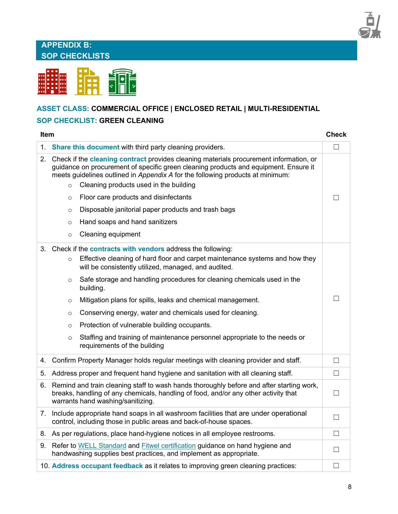# **APPENDIX B: SOP CHECKLISTS**



# **ASSET CLASS: COMMERCIAL OFFICE | ENCLOSED RETAIL | MULTI-RESIDENTIAL**

#### **SOP CHECKLIST: GREEN CLEANING**

| ltem |                                                                |                                                                                                                                                                                                                                                                                                                                                                                                                                                                                                                                                                                         | Check  |
|------|----------------------------------------------------------------|-----------------------------------------------------------------------------------------------------------------------------------------------------------------------------------------------------------------------------------------------------------------------------------------------------------------------------------------------------------------------------------------------------------------------------------------------------------------------------------------------------------------------------------------------------------------------------------------|--------|
|      |                                                                | 1. Share this document with third party cleaning providers.                                                                                                                                                                                                                                                                                                                                                                                                                                                                                                                             | П      |
|      | $\circ$<br>$\circ$<br>$\circ$<br>$\circ$                       | 2. Check if the cleaning contract provides cleaning materials procurement information, or<br>guidance on procurement of specific green cleaning products and equipment. Ensure it<br>meets guidelines outlined in Appendix A for the following products at minimum:<br>Cleaning products used in the building<br>Floor care products and disinfectants<br>Disposable janitorial paper products and trash bags<br>Hand soaps and hand sanitizers                                                                                                                                         | Fт     |
|      | $\circ$                                                        | Cleaning equipment                                                                                                                                                                                                                                                                                                                                                                                                                                                                                                                                                                      |        |
|      | $\circ$<br>$\circ$<br>$\circ$<br>$\circ$<br>$\circ$<br>$\circ$ | 3. Check if the contracts with vendors address the following:<br>Effective cleaning of hard floor and carpet maintenance systems and how they<br>will be consistently utilized, managed, and audited.<br>Safe storage and handling procedures for cleaning chemicals used in the<br>building.<br>Mitigation plans for spills, leaks and chemical management.<br>Conserving energy, water and chemicals used for cleaning.<br>Protection of vulnerable building occupants.<br>Staffing and training of maintenance personnel appropriate to the needs or<br>requirements of the building | П      |
|      |                                                                | 4. Confirm Property Manager holds regular meetings with cleaning provider and staff.                                                                                                                                                                                                                                                                                                                                                                                                                                                                                                    | $\Box$ |
|      |                                                                | 5. Address proper and frequent hand hygiene and sanitation with all cleaning staff.                                                                                                                                                                                                                                                                                                                                                                                                                                                                                                     | $\Box$ |
|      |                                                                | 6. Remind and train cleaning staff to wash hands thoroughly before and after starting work,<br>breaks, handling of any chemicals, handling of food, and/or any other activity that<br>warrants hand washing/sanitizing.                                                                                                                                                                                                                                                                                                                                                                 | □      |
|      |                                                                | 7. Include appropriate hand soaps in all washroom facilities that are under operational<br>control, including those in public areas and back-of-house spaces.                                                                                                                                                                                                                                                                                                                                                                                                                           | $\Box$ |
|      |                                                                | 8. As per regulations, place hand-hygiene notices in all employee restrooms.                                                                                                                                                                                                                                                                                                                                                                                                                                                                                                            | $\Box$ |
|      |                                                                | 9. Refer to WELL Standard and Fitwel certification guidance on hand hygiene and<br>handwashing supplies best practices, and implement as appropriate.                                                                                                                                                                                                                                                                                                                                                                                                                                   | П      |
|      |                                                                | 10. Address occupant feedback as it relates to improving green cleaning practices:                                                                                                                                                                                                                                                                                                                                                                                                                                                                                                      | П      |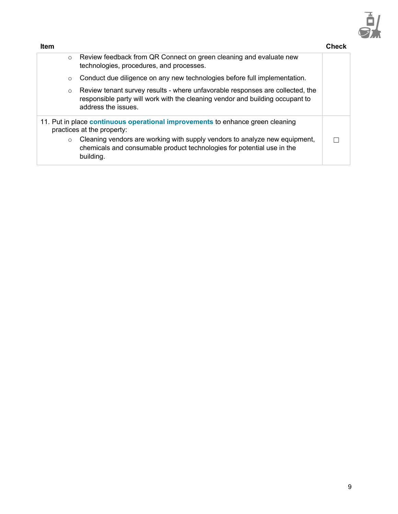

| <b>Item</b> |                                                                                                                                                                                       | Check |
|-------------|---------------------------------------------------------------------------------------------------------------------------------------------------------------------------------------|-------|
| $\circ$     | Review feedback from QR Connect on green cleaning and evaluate new<br>technologies, procedures, and processes.                                                                        |       |
| $\circ$     | Conduct due diligence on any new technologies before full implementation.                                                                                                             |       |
| $\circ$     | Review tenant survey results - where unfavorable responses are collected, the<br>responsible party will work with the cleaning vendor and building occupant to<br>address the issues. |       |
|             | 11. Put in place continuous operational improvements to enhance green cleaning<br>practices at the property:                                                                          |       |
| $\circ$     | Cleaning vendors are working with supply vendors to analyze new equipment,<br>chemicals and consumable product technologies for potential use in the<br>building.                     |       |